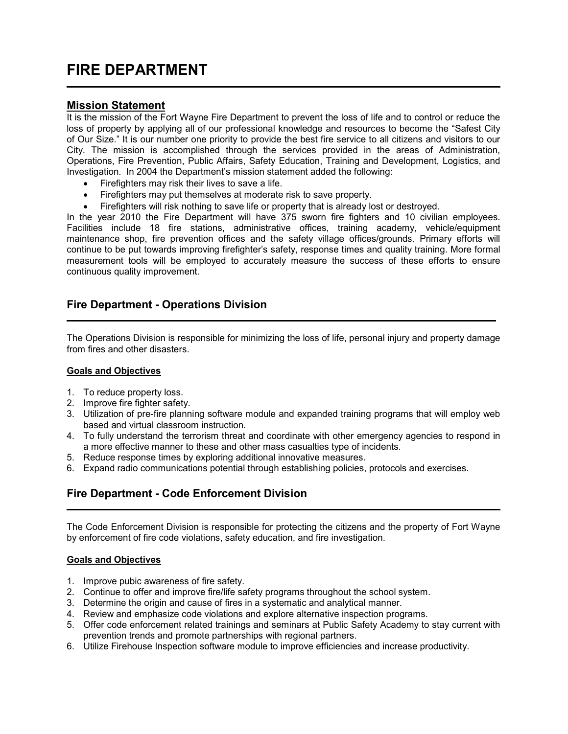# **FIRE DEPARTMENT**

### **Mission Statement**

It is the mission of the Fort Wayne Fire Department to prevent the loss of life and to control or reduce the loss of property by applying all of our professional knowledge and resources to become the "Safest City of Our Size." It is our number one priority to provide the best fire service to all citizens and visitors to our City. The mission is accomplished through the services provided in the areas of Administration, Operations, Fire Prevention, Public Affairs, Safety Education, Training and Development, Logistics, and Investigation. In 2004 the Department's mission statement added the following:

- Firefighters may risk their lives to save a life.
- Firefighters may put themselves at moderate risk to save property.

• Firefighters will risk nothing to save life or property that is already lost or destroyed.

In the year 2010 the Fire Department will have 375 sworn fire fighters and 10 civilian employees. Facilities include 18 fire stations, administrative offices, training academy, vehicle/equipment maintenance shop, fire prevention offices and the safety village offices/grounds. Primary efforts will continue to be put towards improving firefighter's safety, response times and quality training. More formal measurement tools will be employed to accurately measure the success of these efforts to ensure continuous quality improvement.

### **Fire Department - Operations Division**

The Operations Division is responsible for minimizing the loss of life, personal injury and property damage from fires and other disasters.

#### **Goals and Objectives**

- 1. To reduce property loss.
- 2. Improve fire fighter safety.
- 3. Utilization of pre-fire planning software module and expanded training programs that will employ web based and virtual classroom instruction.
- 4. To fully understand the terrorism threat and coordinate with other emergency agencies to respond in a more effective manner to these and other mass casualties type of incidents.
- 5. Reduce response times by exploring additional innovative measures.
- 6. Expand radio communications potential through establishing policies, protocols and exercises.

### **Fire Department - Code Enforcement Division**

The Code Enforcement Division is responsible for protecting the citizens and the property of Fort Wayne by enforcement of fire code violations, safety education, and fire investigation.

#### **Goals and Objectives**

L

- 1. Improve pubic awareness of fire safety.
- 2. Continue to offer and improve fire/life safety programs throughout the school system.
- 3. Determine the origin and cause of fires in a systematic and analytical manner.
- 4. Review and emphasize code violations and explore alternative inspection programs.
- 5. Offer code enforcement related trainings and seminars at Public Safety Academy to stay current with prevention trends and promote partnerships with regional partners.
- 6. Utilize Firehouse Inspection software module to improve efficiencies and increase productivity.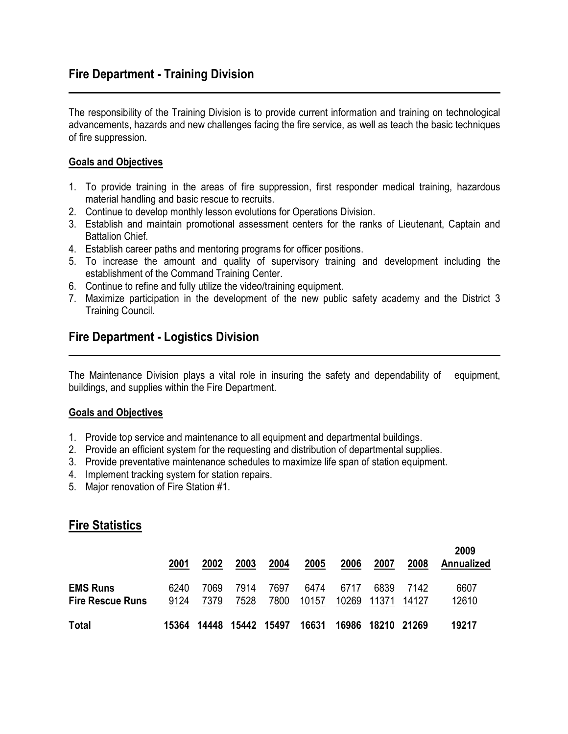## **Fire Department - Training Division**

The responsibility of the Training Division is to provide current information and training on technological advancements, hazards and new challenges facing the fire service, as well as teach the basic techniques of fire suppression.

### **Goals and Objectives**

L

L

- 1. To provide training in the areas of fire suppression, first responder medical training, hazardous material handling and basic rescue to recruits.
- 2. Continue to develop monthly lesson evolutions for Operations Division.
- 3. Establish and maintain promotional assessment centers for the ranks of Lieutenant, Captain and Battalion Chief.
- 4. Establish career paths and mentoring programs for officer positions.
- 5. To increase the amount and quality of supervisory training and development including the establishment of the Command Training Center.
- 6. Continue to refine and fully utilize the video/training equipment.
- 7. Maximize participation in the development of the new public safety academy and the District 3 Training Council.

## **Fire Department - Logistics Division**

The Maintenance Division plays a vital role in insuring the safety and dependability of equipment, buildings, and supplies within the Fire Department.

### **Goals and Objectives**

- 1. Provide top service and maintenance to all equipment and departmental buildings.
- 2. Provide an efficient system for the requesting and distribution of departmental supplies.
- 3. Provide preventative maintenance schedules to maximize life span of station equipment.
- 4. Implement tracking system for station repairs.
- 5. Major renovation of Fire Station #1.

### **Fire Statistics**

|                                            | 2001         | 2002         | 2003         | 2004         | 2005          | 2006          | 2007          | 2008          | 2009<br><b>Annualized</b> |
|--------------------------------------------|--------------|--------------|--------------|--------------|---------------|---------------|---------------|---------------|---------------------------|
| <b>EMS Runs</b><br><b>Fire Rescue Runs</b> | 6240<br>9124 | 7069<br>7379 | 7914<br>7528 | 7697<br>7800 | 6474<br>10157 | 6717<br>10269 | 6839<br>11371 | 7142<br>14127 | 6607<br>12610             |
| <b>Total</b>                               | 15364        | 14448        | 15442        | 15497        | 16631         | 16986         | 18210         | 21269         | 19217                     |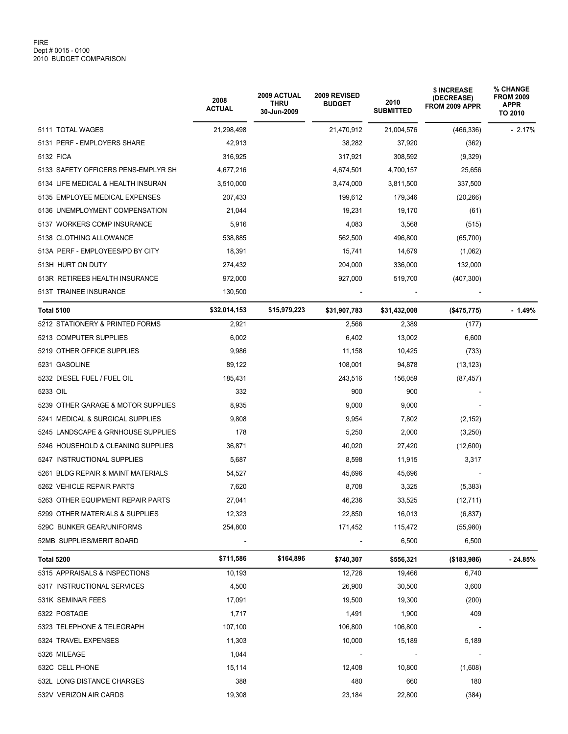|                                     | 2008<br><b>ACTUAL</b> | <b>2009 ACTUAL</b><br><b>THRU</b><br>30-Jun-2009 | 2009 REVISED<br><b>BUDGET</b> | 2010<br><b>SUBMITTED</b> | \$ INCREASE<br>(DECREASE)<br>FROM 2009 APPR | % CHANGE<br><b>FROM 2009</b><br><b>APPR</b><br>TO 2010 |
|-------------------------------------|-----------------------|--------------------------------------------------|-------------------------------|--------------------------|---------------------------------------------|--------------------------------------------------------|
| 5111 TOTAL WAGES                    | 21,298,498            |                                                  | 21,470,912                    | 21,004,576               | (466, 336)                                  | $-2.17%$                                               |
| 5131 PERF - EMPLOYERS SHARE         | 42,913                |                                                  | 38,282                        | 37,920                   | (362)                                       |                                                        |
| 5132 FICA                           | 316,925               |                                                  | 317,921                       | 308,592                  | (9,329)                                     |                                                        |
| 5133 SAFETY OFFICERS PENS-EMPLYR SH | 4,677,216             |                                                  | 4,674,501                     | 4,700,157                | 25,656                                      |                                                        |
| 5134 LIFE MEDICAL & HEALTH INSURAN  | 3,510,000             |                                                  | 3,474,000                     | 3,811,500                | 337,500                                     |                                                        |
| 5135 EMPLOYEE MEDICAL EXPENSES      | 207,433               |                                                  | 199,612                       | 179,346                  | (20, 266)                                   |                                                        |
| 5136 UNEMPLOYMENT COMPENSATION      | 21,044                |                                                  | 19,231                        | 19,170                   | (61)                                        |                                                        |
| 5137 WORKERS COMP INSURANCE         | 5,916                 |                                                  | 4,083                         | 3,568                    | (515)                                       |                                                        |
| 5138 CLOTHING ALLOWANCE             | 538,885               |                                                  | 562,500                       | 496,800                  | (65, 700)                                   |                                                        |
| 513A PERF - EMPLOYEES/PD BY CITY    | 18,391                |                                                  | 15,741                        | 14,679                   | (1,062)                                     |                                                        |
| 513H HURT ON DUTY                   | 274,432               |                                                  | 204,000                       | 336,000                  | 132,000                                     |                                                        |
| 513R RETIREES HEALTH INSURANCE      | 972,000               |                                                  | 927,000                       | 519,700                  | (407, 300)                                  |                                                        |
| 513T TRAINEE INSURANCE              | 130,500               |                                                  |                               |                          |                                             |                                                        |
| <b>Total 5100</b>                   | \$32,014,153          | \$15,979,223                                     | \$31,907,783                  | \$31,432,008             | (\$475,775)                                 | - 1.49%                                                |
| 5212 STATIONERY & PRINTED FORMS     | 2,921                 |                                                  | 2,566                         | 2,389                    | (177)                                       |                                                        |
| 5213 COMPUTER SUPPLIES              | 6,002                 |                                                  | 6,402                         | 13,002                   | 6,600                                       |                                                        |
| 5219 OTHER OFFICE SUPPLIES          | 9,986                 |                                                  | 11,158                        | 10,425                   | (733)                                       |                                                        |
| 5231 GASOLINE                       | 89,122                |                                                  | 108,001                       | 94,878                   | (13, 123)                                   |                                                        |
| 5232 DIESEL FUEL / FUEL OIL         | 185,431               |                                                  | 243,516                       | 156,059                  | (87, 457)                                   |                                                        |
| 5233 OIL                            | 332                   |                                                  | 900                           | 900                      |                                             |                                                        |
| 5239 OTHER GARAGE & MOTOR SUPPLIES  | 8,935                 |                                                  | 9,000                         | 9,000                    |                                             |                                                        |
| 5241 MEDICAL & SURGICAL SUPPLIES    | 9,808                 |                                                  | 9,954                         | 7,802                    | (2, 152)                                    |                                                        |
| 5245 LANDSCAPE & GRNHOUSE SUPPLIES  | 178                   |                                                  | 5,250                         | 2,000                    | (3,250)                                     |                                                        |
| 5246 HOUSEHOLD & CLEANING SUPPLIES  | 36,871                |                                                  | 40,020                        | 27,420                   | (12,600)                                    |                                                        |
| 5247 INSTRUCTIONAL SUPPLIES         | 5,687                 |                                                  | 8,598                         | 11,915                   | 3,317                                       |                                                        |
| 5261 BLDG REPAIR & MAINT MATERIALS  | 54,527                |                                                  | 45,696                        | 45,696                   |                                             |                                                        |
| 5262 VEHICLE REPAIR PARTS           | 7,620                 |                                                  | 8,708                         | 3,325                    | (5,383)                                     |                                                        |
| 5263 OTHER EQUIPMENT REPAIR PARTS   | 27,041                |                                                  | 46,236                        | 33,525                   | (12, 711)                                   |                                                        |
| 5299 OTHER MATERIALS & SUPPLIES     | 12,323                |                                                  | 22,850                        | 16,013                   | (6, 837)                                    |                                                        |
| 529C BUNKER GEAR/UNIFORMS           | 254,800               |                                                  | 171,452                       | 115,472                  | (55,980)                                    |                                                        |
| 52MB SUPPLIES/MERIT BOARD           |                       |                                                  |                               | 6,500                    | 6,500                                       |                                                        |
| Total 5200                          | \$711,586             | \$164,896                                        | \$740,307                     | \$556,321                | (\$183,986)                                 | $-24.85%$                                              |
| 5315 APPRAISALS & INSPECTIONS       | 10,193                |                                                  | 12,726                        | 19,466                   | 6,740                                       |                                                        |
| 5317 INSTRUCTIONAL SERVICES         | 4,500                 |                                                  | 26,900                        | 30,500                   | 3,600                                       |                                                        |
| 531K SEMINAR FEES                   | 17,091                |                                                  | 19,500                        | 19,300                   | (200)                                       |                                                        |
| 5322 POSTAGE                        | 1,717                 |                                                  | 1,491                         | 1,900                    | 409                                         |                                                        |
| 5323 TELEPHONE & TELEGRAPH          | 107,100               |                                                  | 106,800                       | 106,800                  |                                             |                                                        |
| 5324 TRAVEL EXPENSES                | 11,303                |                                                  | 10,000                        | 15,189                   | 5,189                                       |                                                        |
| 5326 MILEAGE                        | 1,044                 |                                                  |                               |                          |                                             |                                                        |
| 532C CELL PHONE                     | 15,114                |                                                  | 12,408                        | 10,800                   | (1,608)                                     |                                                        |
| 532L LONG DISTANCE CHARGES          | 388                   |                                                  | 480                           | 660                      | 180                                         |                                                        |
| 532V VERIZON AIR CARDS              | 19,308                |                                                  | 23,184                        | 22,800                   | (384)                                       |                                                        |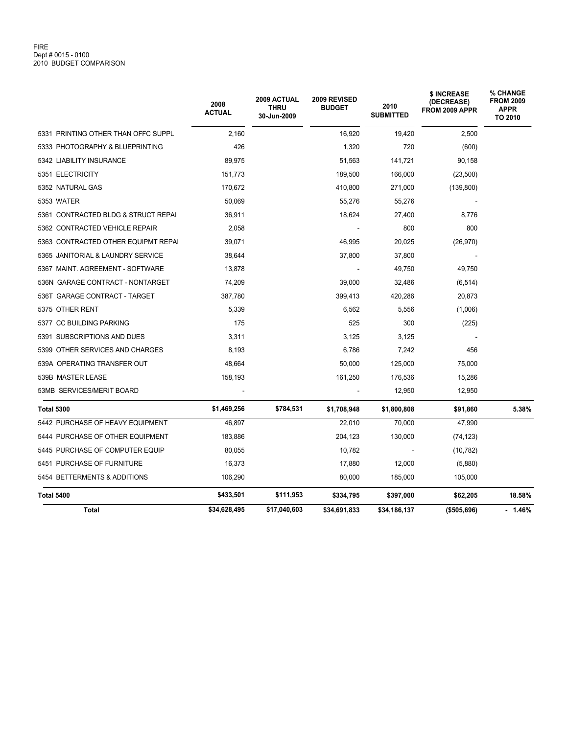#### FIRE Dept # 0015 - 0100 2010 BUDGET COMPARISON

|                                     | 2008<br><b>ACTUAL</b> | <b>2009 ACTUAL</b><br><b>THRU</b><br>30-Jun-2009 | 2009 REVISED<br><b>BUDGET</b> | 2010<br><b>SUBMITTED</b> | <b>\$ INCREASE</b><br>(DECREASE)<br><b>FROM 2009 APPR</b> | % CHANGE<br><b>FROM 2009</b><br>APPR<br>TO 2010 |
|-------------------------------------|-----------------------|--------------------------------------------------|-------------------------------|--------------------------|-----------------------------------------------------------|-------------------------------------------------|
| 5331 PRINTING OTHER THAN OFFC SUPPL | 2.160                 |                                                  | 16,920                        | 19,420                   | 2,500                                                     |                                                 |
| 5333 PHOTOGRAPHY & BLUEPRINTING     | 426                   |                                                  | 1,320                         | 720                      | (600)                                                     |                                                 |
| 5342 LIABILITY INSURANCE            | 89,975                |                                                  | 51,563                        | 141,721                  | 90,158                                                    |                                                 |
| 5351 ELECTRICITY                    | 151,773               |                                                  | 189,500                       | 166,000                  | (23,500)                                                  |                                                 |
| 5352 NATURAL GAS                    | 170,672               |                                                  | 410,800                       | 271,000                  | (139, 800)                                                |                                                 |
| 5353 WATER                          | 50,069                |                                                  | 55,276                        | 55,276                   |                                                           |                                                 |
| 5361 CONTRACTED BLDG & STRUCT REPAI | 36,911                |                                                  | 18,624                        | 27,400                   | 8,776                                                     |                                                 |
| 5362 CONTRACTED VEHICLE REPAIR      | 2,058                 |                                                  |                               | 800                      | 800                                                       |                                                 |
| 5363 CONTRACTED OTHER EQUIPMT REPAI | 39,071                |                                                  | 46,995                        | 20,025                   | (26, 970)                                                 |                                                 |
| 5365 JANITORIAL & LAUNDRY SERVICE   | 38,644                |                                                  | 37,800                        | 37,800                   |                                                           |                                                 |
| 5367 MAINT. AGREEMENT - SOFTWARE    | 13,878                |                                                  |                               | 49,750                   | 49,750                                                    |                                                 |
| 536N GARAGE CONTRACT - NONTARGET    | 74,209                |                                                  | 39,000                        | 32,486                   | (6, 514)                                                  |                                                 |
| 536T GARAGE CONTRACT - TARGET       | 387,780               |                                                  | 399,413                       | 420,286                  | 20,873                                                    |                                                 |
| 5375 OTHER RENT                     | 5,339                 |                                                  | 6,562                         | 5,556                    | (1,006)                                                   |                                                 |
| 5377 CC BUILDING PARKING            | 175                   |                                                  | 525                           | 300                      | (225)                                                     |                                                 |
| 5391 SUBSCRIPTIONS AND DUES         | 3,311                 |                                                  | 3,125                         | 3,125                    |                                                           |                                                 |
| 5399 OTHER SERVICES AND CHARGES     | 8,193                 |                                                  | 6,786                         | 7,242                    | 456                                                       |                                                 |
| 539A OPERATING TRANSFER OUT         | 48,664                |                                                  | 50,000                        | 125,000                  | 75,000                                                    |                                                 |
| 539B MASTER LEASE                   | 158,193               |                                                  | 161,250                       | 176,536                  | 15,286                                                    |                                                 |
| 53MB SERVICES/MERIT BOARD           |                       |                                                  |                               | 12,950                   | 12,950                                                    |                                                 |
| <b>Total 5300</b>                   | \$1,469,256           | \$784,531                                        | \$1,708,948                   | \$1,800,808              | \$91,860                                                  | 5.38%                                           |
| 5442 PURCHASE OF HEAVY EQUIPMENT    | 46,897                |                                                  | 22,010                        | 70,000                   | 47,990                                                    |                                                 |
| 5444 PURCHASE OF OTHER EQUIPMENT    | 183,886               |                                                  | 204,123                       | 130,000                  | (74, 123)                                                 |                                                 |
| 5445 PURCHASE OF COMPUTER EQUIP     | 80,055                |                                                  | 10,782                        |                          | (10, 782)                                                 |                                                 |
| 5451 PURCHASE OF FURNITURE          | 16,373                |                                                  | 17,880                        | 12,000                   | (5,880)                                                   |                                                 |
| 5454 BETTERMENTS & ADDITIONS        | 106,290               |                                                  | 80,000                        | 185,000                  | 105,000                                                   |                                                 |
| Total 5400                          | \$433,501             | \$111,953                                        | \$334,795                     | \$397,000                | \$62,205                                                  | 18.58%                                          |
| <b>Total</b>                        | \$34,628,495          | \$17,040,603                                     | \$34,691,833                  | \$34,186,137             | ( \$505, 696)                                             | $-1.46%$                                        |